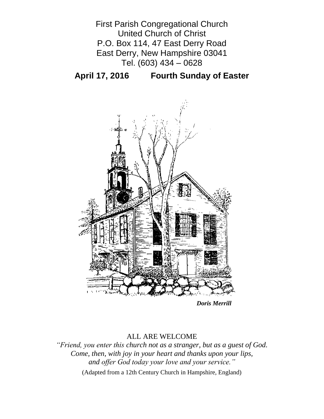

**April 17, 2016 Fourth Sunday of Easter**



*Doris Merrill*

## ALL ARE WELCOME

*"Friend, you enter this church not as a stranger, but as a guest of God. Come, then, with joy in your heart and thanks upon your lips, and offer God today your love and your service."*

(Adapted from a 12th Century Church in Hampshire, England)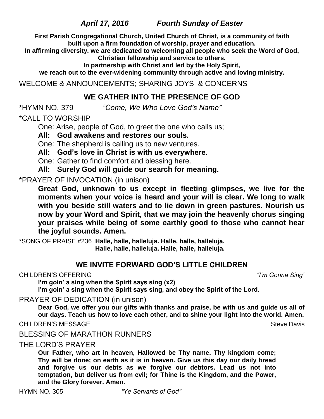*April 17, 2016 Fourth Sunday of Easter*

**First Parish Congregational Church, United Church of Christ, is a community of faith built upon a firm foundation of worship, prayer and education.**

**In affirming diversity, we are dedicated to welcoming all people who seek the Word of God, Christian fellowship and service to others.**

**In partnership with Christ and led by the Holy Spirit,**

**we reach out to the ever-widening community through active and loving ministry.**

WELCOME & ANNOUNCEMENTS; SHARING JOYS & CONCERNS

# **WE GATHER INTO THE PRESENCE OF GOD**

\*HYMN NO. 379 *"Come, We Who Love God's Name"*

\*CALL TO WORSHIP

One: Arise, people of God, to greet the one who calls us;

**All: God awakens and restores our souls.**

One: The shepherd is calling us to new ventures.

**All: God's love in Christ is with us everywhere.**

One: Gather to find comfort and blessing here.

**All: Surely God will guide our search for meaning.**

\*PRAYER OF INVOCATION (in unison)

**Great God, unknown to us except in fleeting glimpses, we live for the moments when your voice is heard and your will is clear. We long to walk with you beside still waters and to lie down in green pastures. Nourish us now by your Word and Spirit, that we may join the heavenly chorus singing your praises while being of some earthly good to those who cannot hear the joyful sounds. Amen.**

\*SONG OF PRAISE #236 **Halle, halle, halleluja. Halle, halle, halleluja. Halle, halle, halleluja. Halle, halle, halleluja.**

# **WE INVITE FORWARD GOD'S LITTLE CHILDREN**

CHILDREN'S OFFERING *"I'm Gonna Sing"*

**I'm goin' a sing when the Spirit says sing (x2)**

**I'm goin' a sing when the Spirit says sing, and obey the Spirit of the Lord.**

PRAYER OF DEDICATION (in unison)

**Dear God, we offer you our gifts with thanks and praise, be with us and guide us all of our days. Teach us how to love each other, and to shine your light into the world. Amen.**

CHILDREN'S MESSAGE Steve Davis

BLESSING OF MARATHON RUNNERS

THE LORD'S PRAYER

**Our Father, who art in heaven, Hallowed be Thy name. Thy kingdom come; Thy will be done; on earth as it is in heaven. Give us this day our daily bread and forgive us our debts as we forgive our debtors. Lead us not into temptation, but deliver us from evil; for Thine is the Kingdom, and the Power, and the Glory forever. Amen.**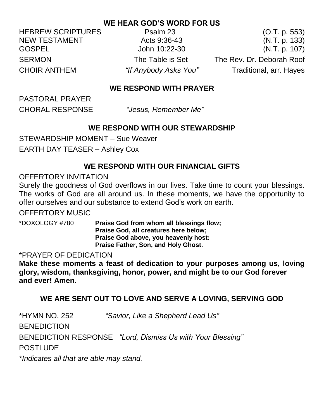# **WE HEAR GOD'S WORD FOR US**

HEBREW SCRIPTURES Psalm 23 (O.T. p. 553)

NEW TESTAMENT Acts 9:36-43 (N.T. p. 133) GOSPEL John 10:22-30 (N.T. p. 107) SERMON The Table is Set The Rev. Dr. Deborah Roof CHOIR ANTHEM *"If Anybody Asks You"* Traditional, arr. Hayes

# **WE RESPOND WITH PRAYER**

PASTORAL PRAYER

CHORAL RESPONSE *"Jesus, Remember Me"* 

# **WE RESPOND WITH OUR STEWARDSHIP**

STEWARDSHIP MOMENT – Sue Weaver EARTH DAY TEASER – Ashley Cox

# **WE RESPOND WITH OUR FINANCIAL GIFTS**

# OFFERTORY INVITATION

Surely the goodness of God overflows in our lives. Take time to count your blessings. The works of God are all around us. In these moments, we have the opportunity to offer ourselves and our substance to extend God's work on earth.

## OFFERTORY MUSIC

\*DOXOLOGY #780 **Praise God from whom all blessings flow; Praise God, all creatures here below; Praise God above, you heavenly host: Praise Father, Son, and Holy Ghost.**

## \*PRAYER OF DEDICATION

**Make these moments a feast of dedication to your purposes among us, loving glory, wisdom, thanksgiving, honor, power, and might be to our God forever and ever! Amen.**

# **WE ARE SENT OUT TO LOVE AND SERVE A LOVING, SERVING GOD**

\*HYMN NO. 252 *"Savior, Like a Shepherd Lead Us"* **BENEDICTION** BENEDICTION RESPONSE *"Lord, Dismiss Us with Your Blessing"* POSTLUDE

*\*Indicates all that are able may stand.*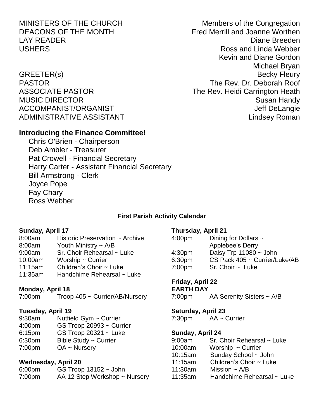MINISTERS OF THE CHURCH Members of the Congregation

## **Introducing the Finance Committee!**

Chris O'Brien - Chairperson Deb Ambler - Treasurer Pat Crowell - Financial Secretary Harry Carter - Assistant Financial Secretary Bill Armstrong - Clerk Joyce Pope Fay Chary Ross Webber

## **First Parish Activity Calendar**

#### **Sunday, April 17**

## 8:00am Historic Preservation ~ Archive

- 8:00am Youth Ministry ~ A/B
- 9:00am Sr. Choir Rehearsal ~ Luke
- 10:00am Worship ~ Currier
- 11:15am Children's Choir ~ Luke
- 11:35am Handchime Rehearsal ~ Luke

### **Monday, April 18**

7:00pm Troop 405 ~ Currier/AB/Nursery

### **Tuesday, April 19**

- 9:30am Nutfield Gym ~ Currier
- 4:00pm GS Troop 20993 ~ Currier
- 6:15pm GS Troop 20321 ~ Luke
- 6:30pm Bible Study ~ Currier
- 7:00pm OA ~ Nursery

### **Wednesday, April 20**

6:00pm GS Troop 13152 ~ John 7:00pm AA 12 Step Workshop ~ Nursery

#### **Thursday, April 21**

| 4:00 <sub>pm</sub> | Dining for Dollars $\sim$     |
|--------------------|-------------------------------|
|                    | Applebee's Derry              |
| 4:30 <sub>pm</sub> | Daisy Trp $11080 \sim$ John   |
| 6:30pm             | CS Pack 405 ~ Currier/Luke/AB |
| 7:00 <sub>pm</sub> | $Sr.$ Choir $\sim$ Luke       |
|                    |                               |

### **Friday, April 22**

## **EARTH DAY**

7:00pm AA Serenity Sisters ~ A/B

#### **Saturday, April 23**

7:30pm AA ~ Currier

### **Sunday, April 24**

| 9:00am  | Sr. Choir Rehearsal ~ Luke   |  |
|---------|------------------------------|--|
| 10:00am | Worship $\sim$ Currier       |  |
| 10:15am | Sunday School ~ John         |  |
| 11:15am | Children's Choir $\sim$ Luke |  |
| 11:30am | Mission $\sim$ A/B           |  |
| 11:35am | Handchime Rehearsal ~ Luke   |  |

DEACONS OF THE MONTH Fred Merrill and Joanne Worthen LAY READER Diane Breeden USHERS **Ross** and Linda Webber Kevin and Diane Gordon Michael Bryan GREETER(s) Becky Fleury PASTOR The Rev. Dr. Deborah Roof ASSOCIATE PASTOR The Rev. Heidi Carrington Heath MUSIC DIRECTOR Susan Handy ACCOMPANIST/ORGANIST ACCOMPANIST/ORGANIST ADMINISTRATIVE ASSISTANT AND THE Lindsey Roman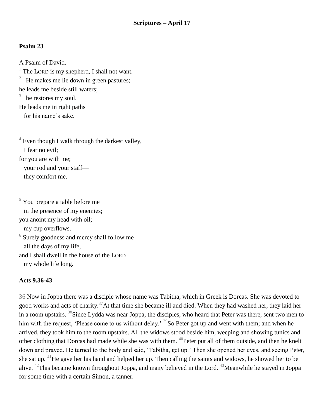## **Psalm 23**

A Psalm of David.  $<sup>1</sup>$  The LORD is my shepherd, I shall not want.</sup> 2 He makes me lie down in green pastures; he leads me beside still waters; 3 he restores my soul. He leads me in right paths for his name's sake.

 $4$  Even though I walk through the darkest valley, I fear no evil; for you are with me; your rod and your staff they comfort me.

<sup>5</sup> You prepare a table before me in the presence of my enemies; you anoint my head with oil; my cup overflows.  $6$  Surely goodness and mercy shall follow me all the days of my life, and I shall dwell in the house of the LORD my whole life long.

### **Acts 9.36-43**

36 Now in Joppa there was a disciple whose name was Tabitha, which in Greek is Dorcas. She was devoted to good works and acts of charity.<sup>37</sup>At that time she became ill and died. When they had washed her, they laid her in a room upstairs. <sup>38</sup>Since Lydda was near Joppa, the disciples, who heard that Peter was there, sent two men to him with the request, 'Please come to us without delay.' <sup>39</sup>So Peter got up and went with them; and when he arrived, they took him to the room upstairs. All the widows stood beside him, weeping and showing tunics and other clothing that Dorcas had made while she was with them. <sup>40</sup>Peter put all of them outside, and then he knelt down and prayed. He turned to the body and said, 'Tabitha, get up.' Then she opened her eyes, and seeing Peter, she sat up. <sup>41</sup>He gave her his hand and helped her up. Then calling the saints and widows, he showed her to be alive. <sup>42</sup>This became known throughout Joppa, and many believed in the Lord. <sup>43</sup>Meanwhile he stayed in Joppa for some time with a certain Simon, a tanner.